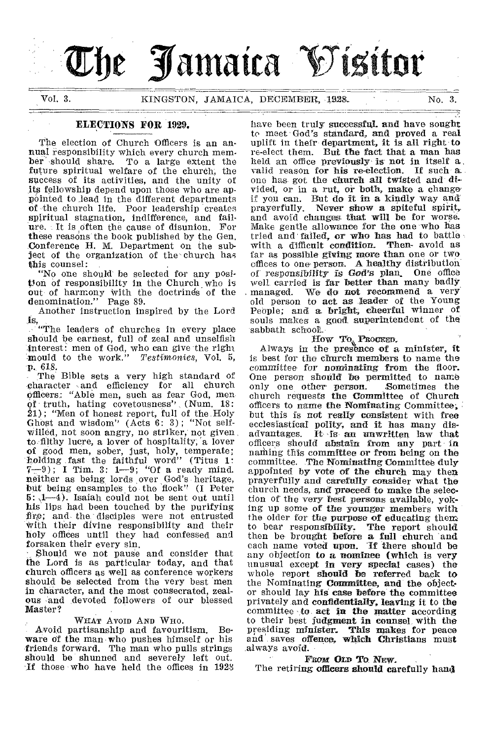# he **Jamaica O'isitor**

Vol. 3. KINGSTON, JAMAICA, DECEMBER, 1928. No. 3. 

#### ELECTIONS FOR 1929.

The election of Church Officers is an annual responsibility which every church member should share. To a large extent the future spiritual welfare of the church; the success of its activities, and the unity of its fellowship depend upon those who are appointed to \_lead in the different departments of the church life. Poor leadership creates spiritual stagnation, indifference, and failure. It is often the cause of disunion. For these reasons the book published by the Gen. Conference H. M. Department on the subject of the organization of the church has this counsel:

"No one should be selected for any position of responsibility in the Church who is out of harmony With the doctrinds of the denomination." Page 89.

Another instruction inspired by the Lord is,

"The leaders of churches in every place should be earnest, full of zeal and unselfish interest: men of God, who can give the right mould to the work." *Testatonies,* Vol. 5, -p. 618.

The Bible sets a very high standard of character and efficiency for all church officers: "Able men, such as fear God, men of truth, hating covetousness" (Num. 18: 21); "Men of honest report, full of the. Holy Ghost and wisdom" (Acts 6: 3) ; "Not self-Willed, not soon angry, no striker, not given to filthy lucre, a lover of hospitality, a lover of good men, sober, just, holy, temperate; holding fast the faithful word" (Titus 1:  $7-9$ ); I Tim. 3: 1-9; "Of a ready mind. neither as being lords over God's heritage, but being ensamples to the flock" (I Peter  $5: 1-4$ . Isaiah could not be sent out until his lips had been touched by the purifying fire; and the disciples were not entrusted With their divine responsibility and their holy offices until they had confessed and forsaken their every sin.

,Should we not pause and consider that the Lord is as particular today, and that church officers as well as conference workers should be selected from the very best men in character, and the most consecrated, zealous and devoted followers of our blessed Master?

#### WHAT AVOID AND WHO.

Avoid partisanship and favouritism. Beware of the man who pushes himself or his friends forward. The man who pulls strings should be shunned and severely left out. If those who have held the offices in 1928 have been **truly successful. and have sought to meet** God's standard, **and proved a real uplift in** their **department, it is all right to re-elect them. But the fact that a man has held** an office **previously is not in itself a**  valid reason **for his re-election. If such** a. one has got **the church all twisted and divided,** or hi a rut, or **both, make a change if you can. But do it in a kindly way and prayerfUlly. Never** *show* **a spiteful spirit,. and avoid changes that will be for worse. Make gentle allowance for the one who has tried and' failed, or who has had to battle with a difficult condition. Then- avoid as**  far as possible **giving more than one or two**  offices to one **person. A healthy distribution of responsibility is** *God's* **plan\_ One office well carried is far better than many badly managed. We do not recommend a very old person to act as leader of the Young PeOple; and a bright; cheerful winner of souls makes' a good superintendent of the sabbath sclioor..** 

**How To Procket Procket Always in the presence of a minister, it is best for the church members to name the committee for nominating from the floor.**  One person should be permitted to name<br>only one other person. Sometimes the only one other person. **church requests the Committee of Church officers to name the Nominating Committee; but this is not really consistent with free ecclesiastical polity, and** it **has many dis-advantages. It •**is **an unwritten law that officers should abstain from any part in naming this committee or from being on the committee. The Nominating Committee duly appointed by vote of the church may then prayerfully and carefully consider what the church needs, and proceed to make the selection of the very best persons available, yoking up some of the younger members with the older for the purpose of educating them**  to bear responsibility. The report should **then be brought before a** full **church and each name voted upon. if there should be any objection** to a **nominee (which is very unusual except** in **very special cases) the whole report** should **be referred back to the Nominating** Committee, **and the objector should lay his** case before the **committee privately and** confidentially, leaving it to the **committee -to** act in the **matter according to their best** judgment **in counsel, with the presiding minister\_ This makes for peace and' saves** offence, which Christians must always **avoid.** 

#### FROM OLD TO NEW.

The **retiring** officers should careful**ly hand**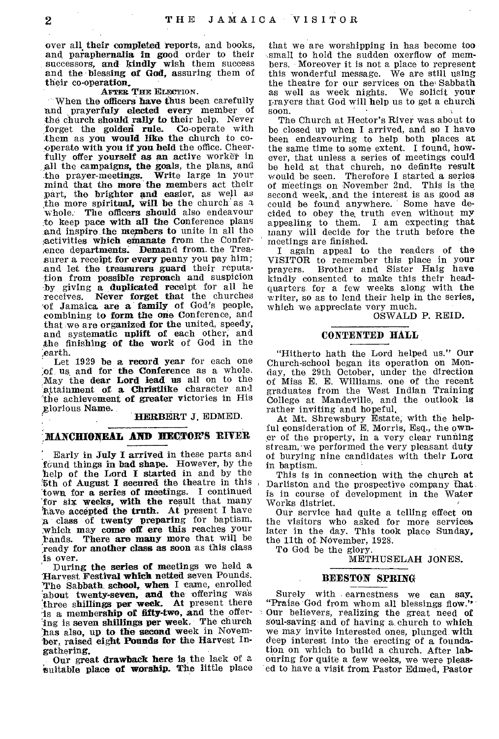over all their completed reports, and books, and paraphernalia in good order to their successors, and kindly wish them success and the blessing of God, assuring them of their co-operation.

#### AFTER THE ELECTION.

When the officers have thus been carefully and prayerfuly elected every member of the church should rally to their help. Never<br>forget the golden rule. Co-operate with forget the golden rule. them as you would like the church to cooperate with you if you held the office. Cheerfully offer yourself *as* an active worker in all the campaigns, the goals, the plans, and .the prayer-meetings. Write large in your mind that the more the members act their part, the brighter and easier, as well as the more spiritual, will be the church as a whole. The officers should also endeavour to keep pace with all the Conference plans and inspire the members to unite in all the Activities which emanate from the Conference departments. Demand from, the Treasurer a receipt for every penny you pay him; and let the treasurers guard their reputation from possible reproach and suspicion .by giving a duplicated receipt for all he receives. Never forget that the churches of Jamaica are a family of God's people, combining to form the one Conference, and that we are organized for the united, speedy, and systematic uplift of each other, and the finishing of the work of God in the ,earth.

Let 1929 be a record year for each one of us and for the Conference as a whole. May the dear Lord lead us all on to the attainment of a Christlike character and 'the achievement of greater victories in His glorious Name.

HERBERT J. EDMED.

#### MANCHIONEAL AND HECTOR'S RIVER

Early in July I arrived in these parts and found things in bad shape. However, by the help of the Lord I started in and by the %th of August I secured the theatre in this town for a series of meetings. I continued `for six weeks, with the result that many /have accepted the truth. At present I have a class of twenty preparing for baptism, which may come off ere this reaches your hands. There are many more that will be ready for another class as soon as this class is over.

During the series of meetings we held a Harvest Festival which netted seven Pounds. The Sabbath school, when I came, enrolled about twenty-seven, and the offering was three shillings per week. At present there 'is a membership of fifty-two, and the offering is seven shillings per week, The church has also, up to the second week in November, raised eight Pounds for the Harvest Ingathering.

Our great drawback here is the lack of a suitable place of worship. The little place

that we are worshipping in has become too small to hold the sudden oxerflow of members. Moreover it is not a place to represent this wonderful message. We are still using the theatre for our services on the Sabbath as well as week nights. We solicit your prayers that God will help us to get a church soon.

The Church at Hector's River was about to be closed up when I arrived, and so I have been endeavouring to help both places at the same time to some extent. I found, however, that unless a series of meetings could be held at that church, no definite result would be seen. Therefore I started a series of meetings on November 2nd. This is the second week, and the interest is as good as could be found anywhere. Some have decided to obey the, truth even without mY appealing to them. I am expecting that many will decide for the truth before the meetings are finished.

I again appeal to the readers of the VISITOR to remember this place in your<br>prayers. Brother and Sister Haig have Brother and Sister Haig have kindly consented to make this their headquarters for a few weeks along with the writer, so as to lend their help in the series, which we appreciate very much.

#### OSWALD P. REID,

#### **CONTENTED HALL**

"Hitherto hath the Lord helped us." Our Church-school began its operation on Monday, the 29th October, under the direction of Miss E. E. Williams. one of the recent graduates from the West Indian Training College at Mandeville, and the outlook is rather inviting and hopeful.

At Mt. Shrewsbury Estate; with the helpful consideration of E. Morris, Esq., the owner of the property, in a very clear running stream, we performed the very pleasant duty of burying nine candidates with their Lore in baptism.

This is in connection with the church at Darliston and the prospective company that. is in course of development in the Water Works district.

Our service had quite a telling effect on the visitors who asked for more services later in the day. This took place Sunday, the 11th of November, 1928.

To God be the glory.

METHUSELAH JONES.

#### **BEESTON SPRING**

Surely with earnestness we can say. "Praise God from whom all blessings flow." Our believers, realizing the great need of soul-saving and of having a. church to which we may invite interested ones, plunged with deep interest into the erecting of a foundation on which to build a church. After labouring for quite a few weeks, we were pleased to have a visit from Pastor Edmed, Pastor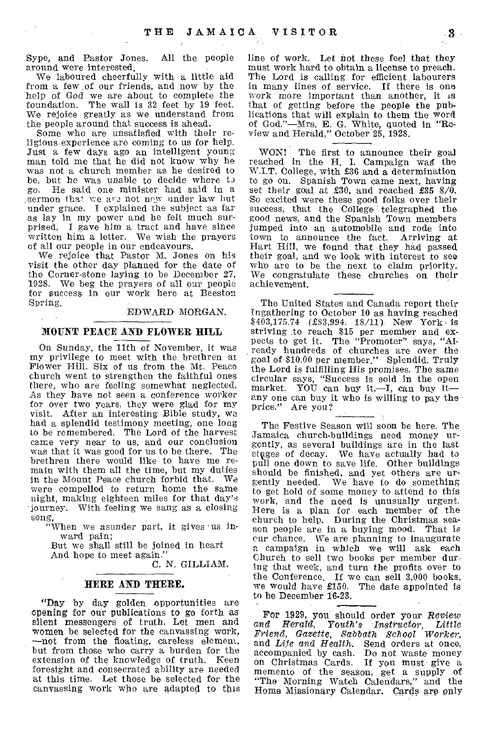Sype, and Pastor Jones. All the people around were interested.

 $\mathcal{L}^{\mathcal{L}}$ 

We laboured cheerfully with a little aid from a few ,of our friends, and now by the help of God we are about to complete the foundation. The wall is 32 feet by 19 feet. We rejoice greatly as we understand from the people around that success is ahead.

Some who are unsatisfied with their religious experience are coming to us for help. Just a few days ago an intelligent young man told me that he did not know why he was not a church member as he desired to be, but he was unable to decide where to  $g_0$ . He said one minister had said in a He said one minister had said in a \_sermon that we are not now under law but under grace. I explained the subject as far as lay in my power and be felt much surprised. I gave him a tract and have since written him a letter. We wish the prayers of all our people in our endeavours.

We rejoice that Pastor M. Jones on his visit the other day planned for the date of the Corner-stone laying to be December 27, 1928. We beg the prayers of all our people for success in our work here at Beeston Spring.

EDWARD MORGAN.

#### **MOUNT PEACE AND FLOWER HILL**

On Sunday, the 11th of November, it was my privilege to meet with the brethren at Flower Hill. Six of us from the Mt. Peace church went to strengthen the faithful ones there, who are feeling somewhat neglected. As they have not seen a conference worker for over two years, they were glad for my visit. After an interesting Bible study, we had a splendid testimony meeting, one long to be remembered. The Lord of the harvest came very near to us, and our conclusion was that it was good for us to be there. The brethren there would like to have me remain with them all the time, but my duties in the Mount Peace church forbid that. We were compelled to return home the same night, making eighteen miles for that day's journey. With feeling we sang as a closing

song, "When we asunder part, it gives •us inward pain;

But we shall still be joined in heart And hope to meet again."

C. N. GILLIAM.

#### **HERE AND THERE.**

"Day by day golden opportunities are opening for our publications to go forth as silent messengers of truth. Let men and women be selected for the canvassing work, —not from the floating, careless element, but from those who carry a burden for the extension of the knowledge of truth. Keen foresight and consecrated ability are needed at this time. Let those be selected for the canvassing work who are adapted to this

line of work. Let not these feel that they must work hard to obtain a license to preach. The Lord is calling for efficient labourers in many lines of service. If there is one work more important than another, it is that of getting before the people the publications that will explain to them the word of God."—Mrs. E. G. White, quoted in "Review and Herald," October 25, 1928.

WON! The first to announce their goal reached in the H. I. Campaign wag the W.I.T. College, with £36 and a determination to go on. Spanish Town came next, having set their goal at £30, and reached £35 8/0. So excited were these good folks over their success, that the College telegraphed the good news, and the Spanish Town members jumped into an automobile and rode into town to announce the fact. Arriving at Hart Hill, we found that they had passed their goal, and we look with interest to see who are to be the next to claim priority. We congratulate these churches on their achievement.

The United States and Canada report their Ingathering to October 10 as having reached \$403,175.74 (£83,994. 18/11). New York is striving to reach \$15 per member and expects to get it. The "Promoter" says, "Already hundreds of churches are over the goal of \$10.00 per member." Splendid. Truly the Lord is fulfilling His promises. The same circular says, "Success is sold in the open market. YOU can buy it,—I, can buy it any one can buy it who is willing to pay the price." Are you?

The Festive Season will soon be here. The Jamaica church-buildings need money urgently, as several buildings are in the last stages of decay. We have actually had to pull one down to save life. Other buildings should be finished, and yet others are urgently needed. We have to do something to get hold of some money to attend to this **work,** and the need is unusually urgent. Here is a plan for each member of the church to help. During the Christmas season people are in a buying mood. That is cur chance. We are planning to inaugurate a campaign in which we will ask each Church to sell two books per member during that week, and turn the profits over to the Conference. If we can sell 3,000 books, we would have £150. The date appointed is to be December 16-23.

For 1929, you should order your *Review and Herald, Youth's Instructor, Little Friend, Gazette, Sabbath School Worker,*  and *Life* and *Health.* Send orders at once, accompanied by cash. Do not waste money on Christmas Cards. If you must give a memento of the season, get a supply of "The Morning Watch Calendars," and the Home Missionary Calendar. Cards are only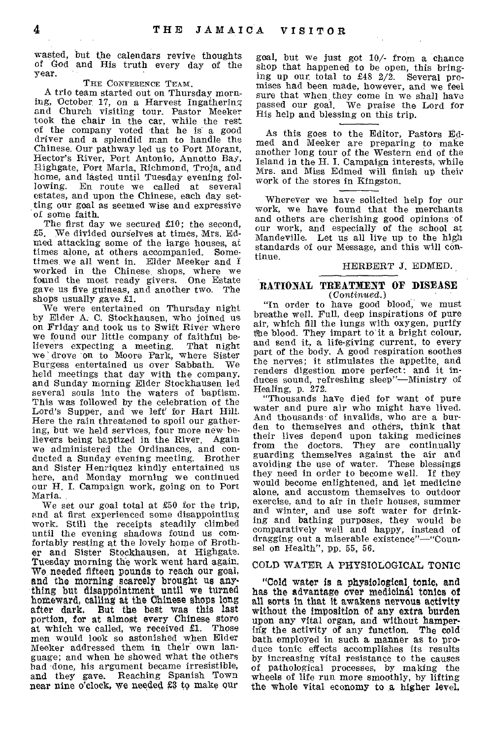wasted, but the calendars revive thoughts of God and His truth every day of the year.

#### THE CONFERENCE TEAM.

A trio team started out on Thursday morning, October. 17, on a Harvest Ingathering and Church visiting tour. Pastor Meeker took the chair in the car, while the rest of the company voted that he is a good driver and a splendid man to handle the Chinese. Our pathway led us to Port Morant, Hector's River, Port Antonio, Annotto Bay, Highgate, Port Maria, Richmond, Troja, and home, and lasted until Tuesday evening following. En route we called at several estates, and upon the Chinese, each day setting our goal as seemed wise and expressive of some faith.

The first day we secured £10; the second, £5. We divided ourselves at times, Mrs. Edmed attacking some of the large houses, at times alone, at others accompanied. Sometimes, we all went in. Elder Meeker and I worked in the Chinese shops, where we found the most ready givers. One Estate gave us five guineas, and another two. The shops usually gave £1.

We were entertained on Thursday night by Elder A. C. Stockhausen, who joined us on Friday and took us to Swift River where we found our little company of faithful believers expecting a meeting. That night we' drove 'on to Moore Park, where Sister Burgess entertained us over Sabbath. We held meetings that day with the company, and Sunday morning Elder Stockhausen led several souls into the waters of baptism. This was followed by the celebration of the Lord's Supper, and we left' for Hart Hill. Here the rain threatened to spoil our gathering, but we held services, four more new believers being baptized in the River, Again we administered the Ordinances, and conducted a Sunday evening meeting. Brother and Sister Henriquez kindly entertained us here, and Monday morning we continued our H. I. Campaign work, going on to Port Maria.

We set our goal total at £50 for the trip, and at first experienced some disappointing work. Still the receipts steadily climbed until the evening shadows found us comfortably resting at the lovely home of Brother and Sister Stockhausen, at Highgate. Tuesday morning the work went hard again. We needed fifteen pounds to reach our goal, and the morning scarcely brought us anything but disappeintment until we turned homeward, calling at the Chinese shops long after dark. But the best was this last portion, for at almost every Chinese store at which we called, we received £1. Those men would look so astonished when Elder Meeker addressed them in their own language; and when he showed what the others bad done, his argument became irresistible, and. they gave. Reaching Spanish Town near nine o'clock, we needed £3 to make our

goal, but we just got 10/- from a chance shop that happened to be open, this bringing up our, total to £48 2/2. Several promises had been made, however, and we feel sure that when they come in we shall have passed our goal, We praise the Lord for His help and blessing on this trip.

As this goes to the Editor, Pastors Ed-med and Meeker are preparing to make another long tour of the Western end of the Island in the H. I. Campaign interests, while Mrs. and Miss Edmed will finish up their work of the stores in Kingston.

Wherever we have solicited help for our work, we have found that the merchants and others are cherishing good opinions of our work, and especially of the school at Mandeville. Let us all live up to the high standards of our Message, and this will continue.

#### HERBERT J. EDMED.

#### RATIONAL TREATMENT OF DISEASE *(Continued.)*

"In order to have good blood, we must breathe well. Full, deep inspirations of pure air, which fill the lungs with oxygen, purify the blood. They impart to it a bright colour, and send it, a life-giving current, to every part of the body. A good respiration soothes the nerves; it stimulates the appetite, and renders digestion more perfect: and it induces sound, refreshing sleep"—Ministry of Healing, p. 272.

"Thousands have died for want of pure water and pure air who might have lived. And thousands' of invalids, who are a burden to themselves and others, think that their lives depend upon taking medicines from the doctors. They are continually guarding themselves against the air and avoiding the use of water. These blessings they need in order to become well. If they would become enlightened, and let medicine alone, and accustom themselves to outdoor exercise, and to air in their houses, summer and winter, and use soft water for drinking and bathing purposes, they would be comparatively well and happy, instead of dragging out a miserable existence"—"Counsel on Health", pp. 55, 56.

#### COLD WATER A PHYSIOLOGICAL TONIC

"Cold water is a physiological tonic, and has the advantage over medicinal tonics of all sorts in that it awakens nervous activity without the imposition of any extra burden upon any vital organ, and without hampering the activity of any function. The cold bath employed in such a manner as to produce tonic effects accomplishes its results by increasing vital resistance to the causes of pathological processes, by making the wheels of life run more smoothly, by lifting the whole vital economy to a higher level,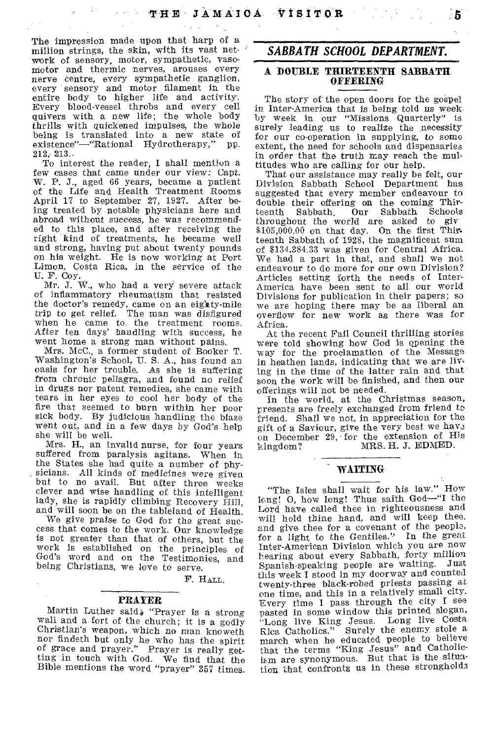The impression made upon that harp of a million strings, the skin, with its vast network of sensory, motor, sympathetic, vasomotor and thermic nerves, arouses every nerve centre, every sympathetic ganglion, every sensory and motor filament in the entire body to higher life and activity. Every blood-vessel throbs and every cell quivers with a new life; the whole body thrills with quickened impulses, the whole being is translated into a new state of existence"—"Rational Hydrotherapy," pp. 212, 213..

To interest the reader, I shall mention a few cases that came under our view: Capt. W. P. J., aged 66 years, became a patient of the Life and Health Treatment Rooms April 17 to September 27, 1927. After being treated by notable physicians here and abroad without success, he was recommended to this place, and after receiving the right kind of treatments, he became well and strong, having put about twenty pounds on his weight. He is now working at Port Limon, Costa Rica, in the service of the U. F. Coy.

Mr. J. W., who had a very severe attack of inflammatory rheumatism that resisted the doctor's remedy, came on an eigity-mile trip to get relief. The man was disfigured when he came to, the treatment rooms. After ten days' handling with success, he went home a strong man without pains.

Mrs. McC., a former student of Booker T. Washington's School, U. S. A., has found an oasis for her trouble. As she is suffering from chronic pellagra, and found no relief in drugs nor patent remedies, she came with tears in her eyes to cool her body of the fire that seemed to burn within her poor sick body. By judicious handling the blaze went out, and in a few days by God's help she will be well.

Mrs. H., an invalid nurse, for four years suffered from paralysis agitans. When in the States she had quite a number of physicians. All kinds of medicines were given but to no avail. But after three weeks clever and wise handling of this intelligent lady, she is rapidly climbing Recovery Hill, and will soon be on the tableland of Health.

We *give* praise to God for the great success that comes to the work. Our knowledge is not greater than that of others, but the work is established on the principles of God's word and on the Testimonies, and being Christians, we love to serve.

F. HALL.

#### PRAYER

Martin Luther said, "Prayer is a strong wall and a fort of the church; it is a godly Christian's weapon, which no man knoweth nor findeth but only he who has the spirit of grace and prayer." Prayer is really getting in touch with God. We find that the Bible mentions the word "prayer" 357 times.

#### *SABBATH SCHOOL DEPARTMENT.*

#### A DOUBLE THIRTEENTH SABBATH. OFFERING

The story of the open doors for the gospel in Inter-America that is being told us week by week in our "Missions Quarterly" is surely leading us to realize the necessity for our co-operation in supplying, to some extent, the need for schools and dispensaries in order that the truth may reach the multitudes who are calling for our help.

That our assistance may really be felt, our Division Sabbath School Department has suggested that every member endeavour to double their offering on the coming Thir-<br>teenth Sabbath Our Sabbath Schools teenth Sabbath. Our Sabbath Schools throughout the world are asked to giv \$105,000.00 on that day. On the first Thirteenth Sabbath of 1928, the magnificent sum of \$134,384.33 was given for Central Africa. We had a part in that, and shall we not endeavour to do more for our own Division? Articles setting forth the needs of Inter-America have been sent to all our world Divisions for publication in their papers; so we are hoping there may be as liberal an overflow for new work as there was for Africa.

At the recent Fall Council thrilling stories were told showing how God is opening the way for the proclamation of the Message• in heathen lands, indicating that we are living in the time of the latter rain and that soon the work will be finished, and then our offerings will not be needed.

In the world, at the Christmas season, presents are freely exchanged from friend to friend. Shall we not, in appreciation for the gift of a Saviour, give the very best we have on December 29, for the extension of His kingdom? MRS. H. J. EDMED. MRS. H. J. EDMED.

## WAITING

"The Isles shall wait for his law." How long! 0, how long! Thus saith God—"I the Lord have called thee in righteousness and will hold thine hand, and will keep thee. and give thee for a covenant of the people, for a light to the Gentiles." In the great Inter-American Division which you are now hearing about every Sabbath, forty million Spanish-speaking people are waiting. this week I stood in my doorway and counted twenty-three black-robed priests passing at one time, and this in a relatively small city. Every time I pass through the city I see pasted in some window this printed slogan, "Long live King Jesus. Long live Costa Rica. Catholics." Surely the enemy stole a march when he educated people to believe that the terms "King Jesus" and Catholic-Lem are synonymous. But that is the situation that confronts us in these strongholds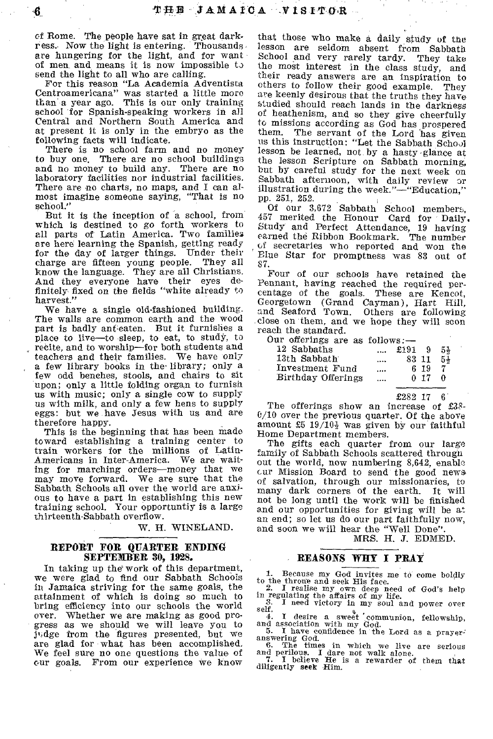cf Rome. The people have sat in great darkress. Now the light is entering. Thousands. are hungering for the light, and for want of men and means it is now impossible to send the light to all who are calling.

For this reason "La Academia Adventists Centroamericana" was started a little more than a year ago. This is our only training school for Spanish-speaking workers in all Central and Northern South America and at present it is only in the embryo as the following facts will indicate.

There is no school farm and no money to buy one. There are no school buildings and no money to build any. There are no laboratory facilities nor industrial facilities. There are no charts, no maps, and I can almost imagine someone saying, "That is no school."

But it is the inception of a school, from which is destined to go forth workers to all parts of Latin America. Two families are here learning the Spanish, getting ready for the day of larger things. Under their<br>charge are fifteen young people. They all charge are fifteen young people. know the language. They are all Christians. And they everyone have their eyes de-finitely fixed on the fields "white already to harvest."

We have a single old-fashioned building. The walls are common earth and the wood part is badly ant-eaten. But it furnishes a place to live—to sleep, to eat, to study, to recite, and to worship—for both students and teachers and their families. We have only a few library books in the. library; only a few odd benches, stools, and chairs to sit upon; only a little folding organ to furnish us with music; only a single cow to supply us with milk, and only a few hens to supply eggs: but we have Jesus with us and are therefore happy.

This is the beginning that has been made toward establishing a training center to train workers for the millions of Latin-Americans in Inter-America. We are waiting for marching orders—money that we may move forward. We are sure that the Sabbath Schools all over the world are anxious to have a part in establishing this new training school. Your opportuntiy is a large thirteenth-Sabbath overflow.

W. H. WINELAND.

#### REPORT FOR QUARTER ENDING SEPTEMBER 30, 1928.

In taking up the work of this department, we were glad to find our Sabbath Schools in Jamaica striving for the same goals, the attainment of which is doing so much to bring efficiency into our schools the world over. Whether we are making as good pro-Whether we are making as good progress as we should we will leave you to ji4 dge from the figures presented, but we are glad for what has been accomplished, We feel sure no one questions the value of our goals. From our experience we know

that those who make a daily study of the lesson are seldom absent from Sabbath School and very rarely tardy. They take the most interest in the class study, and their ready answers are an inspiration to others to follow their good example. They are keenly desirous that the truths they have studied should reach lands in the darkness of heathenism, and so they give cheerfully to missions according as God has prospered them. The servant of the Lord has given us this instruction: "Let the Sabbath Scholl lesson be learned, not by a hasty glance at the lesson Scripture on Sabbath morning, but by careful study for the next week on Sabbath afternoon, with daily review or illustration during the week."—"Education," pp. 251, 252.

Of our 3,672 Sabbath School members, 457 merited the Honour Card for Daily. Study and Perfect Attendance, 19 having earned the Ribbon Bookmark. The number of secretaries who reported and won the Blue Star for promptness was 83 out of 87.

Four of our schools have retained the Pennant, baying reached the required percentage of the goals. These are Kencot, Georgetown (Grand Cayman), Hart Hill, and Seaford Town. Others are following close on them, and we hope they will soon reach the standard.

Our offerings are as follows: $-$ 

|                    | ------------- |       |      |    |
|--------------------|---------------|-------|------|----|
| 12 Sabbaths        |               | £191  | -9   | 54 |
| 13th Sabbath       | $\cdots$      | 83 11 |      | 54 |
| Investment Fund    | $\cdots$      |       | 6 19 | 7  |
| Birthday Offerings |               |       | 0.17 | ∩  |
|                    |               |       |      |    |

£282 17 6

The offerings show an increase of  $£38-$ 0/10 over the previous quarter. Of the above amount  $£5 \t19/10\frac{1}{2}$  was given by our faithful Home Department members.

The gifts each quarter from our large family of Sabbath Schools scattered through out the world, now numbering 8,642, enable cur Mission Board to send the good news of salvation, through our missionaries, to many dark corners of the earth. It will not be long until the work will be finished and our opportunities for giving will be at an end; so let us do our part faithfully now, and soon we will hear the "Well Done".

MRS. H. J. EDMED.

#### REASONS WRY I PRAY

1. Because my God invites me to come boldly

to the throne and seek His face.<br>
2. I realise my own deep need of God's help<br>
in regulating the affairs of my life.<br>
3. I need victory in my soul and power over

self.

4. I desire a sweet communion, fellowship, and association with my God.<br>5. I have confidence in the Lord as a prayer-

answering God.<br>
6. The times in which we live are serious<br>
and perilous. I dare not walk alone.<br>
7. I believe He is a rewarder of them that<br>
diligently seek Him.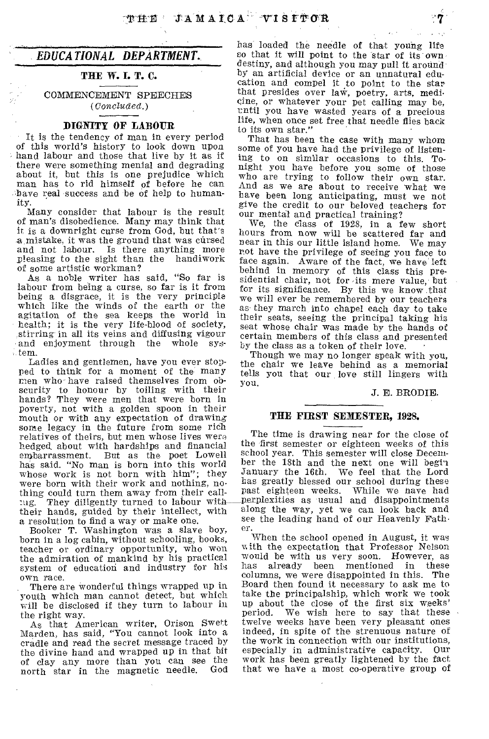#### *EDUCATIONAL DEPARTMENT.*

#### THE W. I. T. C.

COMMENCEMENT SPEECHES *(Concluded.)* 

#### DIGNITY OF LABOUR

It is the tendency of man in every period of this world's history to look down upon hand labour and those that live by it as if there were something menial and degrading about it, but this is one prejudice which man has to rid himself of before he can have real success and 'be of help to humanity.

Many consider that labour is the result of man's disobedience. Many may think that it is a downright curse from God, but that's a mistake, it was the ground that was cursed and not labour. Is there anything more pleasing to the sight than the handiwork of some artistic workman?

As a noble writer has said, "So far is labour from being a curse, so far is it from being a disgrace, it is the very principle which like the winds of the earth or the agitation of the sea keeps the world in health; it is the very life-blood of society, stirring in all its veins and diffusing vigour and enjoyment through the whole system.

Ladies and gentlemen, have you ever stopped to think for a moment of the many men who- have raised themselves from obscurity to honour by toiling with their hands? They were men that were born in poverty, not with a golden spoon in their mouth or with any expectation of drawing some legacy in the future from some rich relatives of theirs, but men whose lives were hedged, about with hardships and financial But as the poet Lowell has said. "No man is born into this world whose work is not born with him"; they were born with their work and nothing, no• thing could turn them away from their call-<br>tug. They diligently turned to labour with They diligently turned to labour withtheir hands, guided by their intellect, with a resolution to find a way or make one.

Booker T. Washington was a slave boy, horn in a log cabin, without schooling, books, teacher or ordinary opportunity, who won the admiration of mankind by his practical system of education and industry for his own race.

There are wonderful things wrapped up in youth which man cannot detect, but which will be disclosed if they turn to labour in the right way.

As that American writer, Orison Swett Marden, has said, "You cannot look into a cradle and read the secret message traced by the divine hand and wrapped up in that bit of clay any more than you can see the<br>north star in the magnetic needle. God north star in the magnetic needle.

has loaded the needle of that young life so that it will point to the star of its own destiny, and although you may pull it around by an artificial device or an unnatural edu-cation and compel it to point to the star that presides over law, poetry, arts, medieine, or whatever your pet calling may be, until you have wasted years of a precious life, when once set free that needle flies back to its own star."

That has been the case with many whom some of you have had the privilege of listening to on similar occasions to this. Tonight you have before you some of those who are trying to follow their own star. And as we are about to receive what we have been long anticipating, must we not give the credit to our beloved teachers for our mental and practical training?

We, the class of 1928, in a few short hours from now will be scattered far and near in this our little island home. We may rot have the privilege of seeing you face to face again. Aware of the fact, we have' left behind in memory of this class this presidential chair, not for its mere value, but for its significance. By this we know that we will ever be remembered by our teachers as- they march into chapel each day to take their seats, seeing the principal taking his seat whose chair was made by the hands of certain members of this class and presented by the class as a token of their love.

Though we may no longer speak with you, the chair we leave behind as a memorial tells you that our love still lingers with you.

#### J. E. BRODIE.

#### THE FIRST SEMESTER, 1928.

The time is drawing near for the close of the first semester or eighteen weeks of this school year. This semester will close December the 18th and the next one will begin January the 16th. We feel that the Lord has greatly blessed our school during these past eighteen weeks. While we nave had perplexities as usual and disappointments along the way, yet we can look back and see the leading hand of our Heavenly Fath er.

When the school opened in August, it was with the expectation that Professor Nelson would be with us very soon. However, as<br>has already been mentioned in these already been mentioned in these columns, we were disappointed in this. The Board then found it necessary to ask me to take the principalship, which work we took up about the close of the first six weeks' We wish here to say that these twelve weeks have been very pleasant ones indeed, in spite of the strenuous nature of the work in connection with our institutions, especially in administrative capacity. Our work has been greatly lightened by the fact that we have a most co-operative group of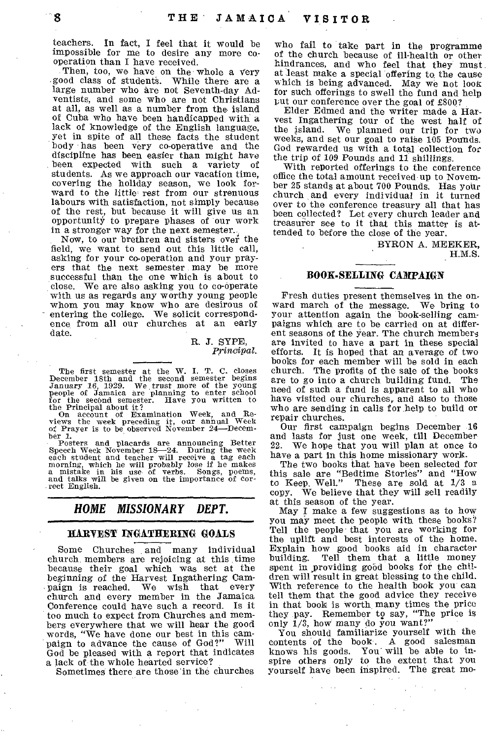teachers. In fact, I feel that it would be impossible for me to desire any more cooperation than I have received.

Then, too, we have on the whole a very good class of students. While there are a large number who are not Seventh-day Adventists, and some who are not Christians at all, as well as a number from the island of Cuba who have been handicapped with a lack of knowledge of the English language, Yet in spite of all these facts the student body has been very co-operative and the discipline has been easier than might have<br>been expected with such a variety of been expected with such a variety students. As we approach our vacation time, covering the holiday season, we look forward to the little rest from our strenuous labours with satisfaction, not simply because of the rest, but because it will give us an opportunity to prepare phases of our work in a stronger way for the next semester.

Now, to our brethren and sisters over the field, we want to send out this little call, asking for your co-operation and your prayers that the next semester may be more successful than the one which is about to close. We are also asking you to co-operate with us as regards any worthy young people whom you may know who are desirous of entering the college. We solicit correspondence from all our churches at an early date.

> R. J. SYPE, *Principal.*

The first semester at the W. I. T. C. closes<br>December 18th and the second semester begins<br>January 16, 1929. We trust more of the young<br>people of Jamaica are planning to enter school<br>for the second semester. Have you writte

the Principal about it? The Principal about it?<br>
On account of Examination Week, and Re-<br>
views the week preceding it, our annual Week<br>
of Prayer is to be observed November 24—Decem-

ber 1.<br>
Per 1.<br>
Posters and placards are announcing Better<br>
Posters and placards are announcing Better<br>
Speech Week November 18—24. During the week<br>
each student and teacher will precive a tag each<br>
morning, which he will

### *HOME MISSIONARY DEPT.*

#### HARVEST INGATHERING GOALS

Some Churches and many individual church members are rejoicing at this time because their goal which was set at the beginning of the Harvest Ingathering Cam-<br>paign is reached. We wish that every paign is reached. We church and every member in the Jamaica Conference could have such a record. Is it too much to expect from Churches and members everywhere that we will hear the good words, "We have done our best in this cam-<br>naight to advance the cause of God?" Will paign to advance the cause of God?" God be pleased with a report that indicates a lack of the whole hearted service?

Sometimes there are those in the churches

who fail to take part in the programme of the church because of ill-health or other hindrances, and who feel that they must at least make a special offering to the cause which is being advanced. May we not look for such offerings to swell the fund and help put our conference over the goal of £800?

Elder Edmed and the writer made a Harvest Ingathering tour of the west half of We planned our trip for two weeks, and set our goal to raise 105 Pounds. God rewarded us with a total collection for the trip of 109 Pounds and 11 shillings.

With reported offerings to the conference office the total amount received up to November 25 stands at about 700 Pounds. Has your church and *every* individual in it turned over to the conference treasury all that has been collected? Let every church leader and treasurer see to it that this matter is attended to before the close of the year.

BYRON A. MEEKER, H.M.S.

#### BOOK-SELLING CAMPAIGN

Fresh duties present themselves in the onward march of the message. We bring to your attention again the book-selling campaigns which are to be carried on at different seasons of the year. The church members are invited to have a part in these special efforts. It is hoped that an average of two books for each member will be sold in each church. The profits of the sale of the books are to go into a church building fund. The need of such a fund is apparent to all who have visited our churches, and also to those who are sending in calls for help to build or repair churches.

Our first campaign begins December 16 and lasts for just one week, till December 22. We hope that you will plan at once to have a part in this home missionary work.

The two books that have been selected for this sale are "Bedtime Stories" and "How to Keep, Well." These are sold at 1/3 a We believe that they will sell readily at this season of the year.

May I make a few suggestions as to how you may meet the people with these books? Tell the people that you are working for the uplift and best interests of the home. Explain how good books aid in character Tell them that a little money spent in yroviding gobd books for the children will result in great blessing to the child. With reference to the health book you can tell them that the good advice they receive in that book is worth many times the price they pay. Remember t9 say, "The price is only 1/3, how many do you want?"

You should familiarize yourself with the contents of the book. A good salesman knows his goods. You will be able to inspire others only to the extent that you yourself have been inspired. The great mo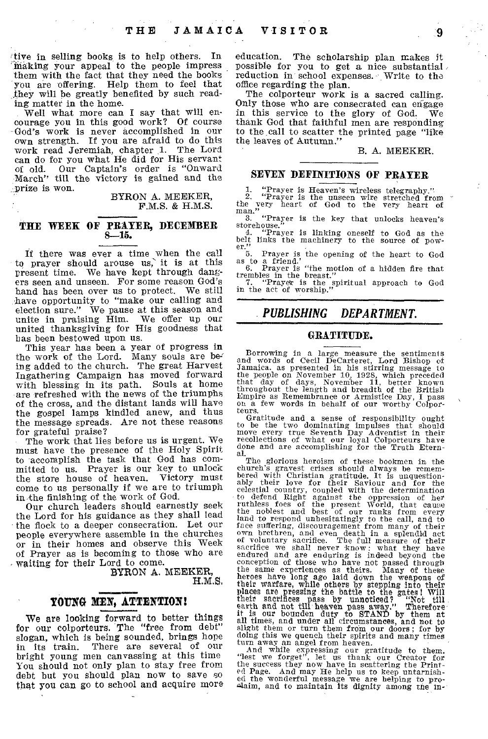tive in selling books, is to help others. In `Making your appeal to the people impress them with the fact that they need the books you are offering. Help them to feel that they will be greatly benefited by such reading matter in the home.

Well what more can I say that will encourage you in this good work? Of course God's work is never accomplished in our own strength. If you are afraid to do this work read Jeremiah, chapter 1. The Lord can do for you what He did for His servant of old. Our Captain's order is "Onward March" till the victory is gained and the prize is won.

> BYRON A. MEEKER, F.M.S. & H.M.S.

#### **THE WEEK OF PRAYER, DECEMBER 8-15.**

If there was ever a time when the call to prayer should arouse us,' it is at this present time. We have kept through dangers seen and unseen. For some reason God's hand has been over us to protect. We still have opportunity to "make our calling and election sure." We pause at this season and unite in praising Him. We offer up our united thanksgiving for His goodness that has been bestowed upon us.

This year has been a year of progress in the work of the Lord. Many souls are being added to the church. The great Harvest Ingathering Campaign has moved forward with blessing in its path. Souls at home are refreshed with the news of the triumphs of the cross, and the distant lands will have the gospel lamps kindled anew, and thus the message spreads. Are not these reasons for grateful praise?

The work that lies before us is urgent. We must have the presence of the Holy Spirit to accomplish the task that God has committed to us. Prayer is our key to unlock<br>the store house of heaven. Victory must the store house of heaven. come to us personally if we are to triumph in the finishing of the work of God.

Our church leaders should earnestly seek the Lord for his guidance as they shall lead the flock to a deeper consecration. Let our people everywhere assemble in the churches or in their homes and observe this Week of Prayer as is becoming to those who are waiting for their Lord to come.

BYRON A. MEEKER, H.M.S.

#### YOUNG MEN, ATTENTION!

We are looking forward to better things for our colporteurs. The "free from debt" slogan, which is being sounded, brings hope<br>in its train. There are several of our There are several of our bright young men canvassing at this time You should not only plan to stay free from debt but you should plan now to save so that you can go to school and acquire more

education. The scholarship plan makes it possible for you to get a nice substantial reduction in school expenses. Write to the office regarding the plan.

The colporteur work is a sacred calling. Only those who are consecrated can engage<br>in this service to the glory of God. We in this service to the glory of God. thank God that faithful men are responding to the call to scatter the printed page "like the leaves of Autumn."

#### B. A. MEEKER.

#### **SEVEN DEFINITIONS OF PRAYER**

1. "Prayer is Heaven's wireless telegraphy."<br>
2. "Prayer is the unseen wire stretched from<br>
the very heart of God to the very heart of<br>
man."

3. "Prayer is the key that unlocks heaven's

storehouse."<br>
4. "Prayer is linking oneself to God as the<br>
belt links the machinery to the source of pow-

er."<br>
S. Prayer is the opening of the heart to God<br>
as to a friend."<br>
6. Prayer is "the motion of a hidden fire that<br>
trembles in the breast."<br>
7. "Prayer is the spiritual approach to God<br>
in the act of worship."

#### *PUBLISHING DEPARTMENT.*

#### **GRATITUDE.**

Borrowing in a large measure the sentiments and words of Cecil DeCarteret, Lord Bishop of Jamaica. as presented in his stirring message to the people on November 10, 1928, which preceded<br>that day of days, November 11, better known<br>throughout the length and breadth of the British<br>Empire as Remembrance or Armistice Day, I pass<br>on a few words in behalf of our wo

teurs. The and a sense of responsibility ought of the the two dominating impulses that should move every true Seventh Day Adventist in their recollections of what our loyal Colporteurs have done and are accomplishing for t

al.<br>
The glorious heroism of these bookmen in the<br>
church's gravest crises should always be remem-<br>
The glorious heroism of these bookmen in the<br>
church's gravest crises should always be remem-<br>
ably their love for their S

And while expressing our gratitude to them.<br>
"Hest we forget", let us thank our Creator for<br>
the success they now have in scattering the Print-<br>
ed Page. And may He help us to keep untarnish-<br>
ed the wonderful message we a

ЦŽ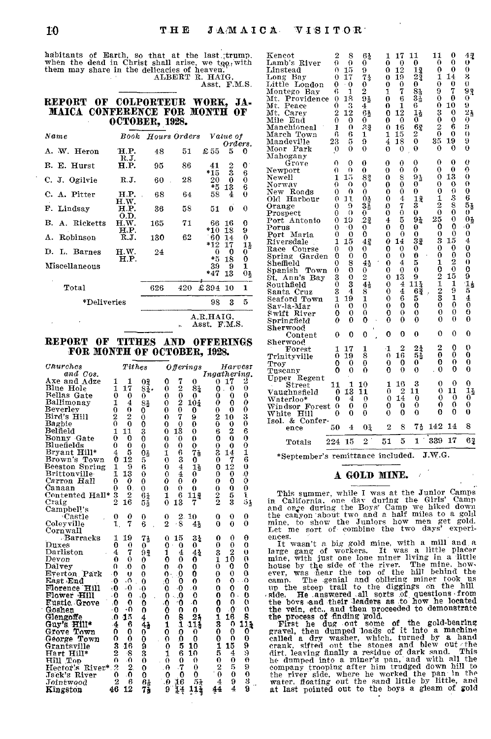habitants of Earth, so that at the last trump, when the dead in Christ shall arise, we too, with them may share in the delicacies of heaven.<br>ALBERT R. HAIG,

Asst. F.M.S.

#### REPORT OF COLPORTEUR WORK, JA-MAICA CONFERENCE FOR MONTH OF OCTOBER, 1928.

| Name           |                                        | <b>Book</b> Hours Orders |     |              | Value of |                |  |
|----------------|----------------------------------------|--------------------------|-----|--------------|----------|----------------|--|
|                |                                        |                          |     |              | Orders.  |                |  |
| A. W. Heron    | H.P.<br>R.J.                           | 48                       | 51  | $\pounds$ 55 | 5        | o              |  |
| B. E. Hurst    | H.P.                                   | 95                       | 86  | 41           | 2        | 0              |  |
| C. J. Ogilvie  | RJ.                                    | 60                       | 28  | *15<br>20    | 3<br>0   | $^6_0$         |  |
| C. A. Pitter   | H.P.<br>H.W.                           | 68                       | 64  | *5<br>58     | 13<br>4  | 6<br>0         |  |
| F. Lindsay     | н.р.<br>O.D.                           | 36                       | 58  | 51           | $\bf{0}$ | 0              |  |
| B. A. Ricketts | H.W.<br>H.P.                           | 165                      | 71  | 66<br>*10    | 16<br>18 | 0<br>9         |  |
| A. Robinson    | RJ.                                    | 130                      | 62  | 60           | 14       | 0              |  |
| D. L. Barnes   | H.W.                                   | 24                       |     | *12<br>0     | 17<br>0  | 1}<br>0        |  |
| Miscellaneous  | H.P.                                   |                          |     | *5<br>39     | 18<br>9  | $\frac{0}{1}$  |  |
|                |                                        |                          |     | *47          | 13       | $0\frac{1}{2}$ |  |
| Total          |                                        | 626                      | 420 | \$394        | -10      | 1              |  |
| *Deliveries    |                                        |                          | 98  | 3            | 5        |                |  |
|                | $_{\rm A.R. H A I G.}$<br>Asst. F.M.S. |                          |     |              |          |                |  |

#### REPORT OF TITHES AND OFFERINGS FOR MONTH OF OCTOBER, 1928.

| Churches<br>and Cos. | $\it Tithes$                         |                    | <b>Offerings</b>                           | Harvest<br>Ingathering.          | .<br>0<br>$\mathbf 0$<br>0<br>0<br>0<br>$\theta$<br>$\Omega$<br>$\bf{0}$<br>o<br>Troy<br>$\cdot$ 0<br>0<br>$\Omega$<br>$\Omega$<br>$\Omega$<br>0<br>0<br>0<br>$\Omega$<br>Tuscany |
|----------------------|--------------------------------------|--------------------|--------------------------------------------|----------------------------------|-----------------------------------------------------------------------------------------------------------------------------------------------------------------------------------|
| Axe and Adze         | 1<br>ı                               | 02                 | 7<br>0<br>0                                | 0, 17<br>2                       | Upper Regent                                                                                                                                                                      |
| Blue Hole            | 17<br>1                              | 8 <sub>4</sub>     | $\overline{2}$<br>81<br>$\theta$           | $\theta$<br>$\theta$<br>0        | 0<br>3<br>0<br>1 16<br>0<br>11<br>110<br>Street                                                                                                                                   |
| Bellas Gate          | $\bf{0}$<br>$_{0}$                   | 0.                 | $\theta$<br>0<br>0.                        | $\Omega$<br>$\bf{0}$<br>0        | 13<br>$\mathbf{2}$<br>11<br>11<br>0<br>13 11<br>0<br>Vaughnsfield<br>0                                                                                                            |
| Ballimonay           | $\overline{4}$<br>1                  | 81                 | 2<br>$10_{2}$<br>$\theta$                  | $\theta$<br>0<br>0               | $\Omega$<br>0.14<br>0<br>- 0<br>0<br>40<br>Waterloo*<br>0.<br>$\theta$                                                                                                            |
| Beverley             | 0<br>$\Omega$                        | 0                  | $\Omega$<br>0<br>0.                        | $\Omega$<br>0<br>0               | $\Omega$<br>0<br>$\bf{0}$<br>$^{0}$<br>$\bf{0}$<br>0<br>$\bf{0}$<br>Windsor Forest 0<br>$\Omega$<br>$^{\circ}$                                                                    |
| Bird's Hill          | $\overline{2}$<br>$\mathbf{2}$       | $\mathbf{0}$       | 7<br>9<br>0                                | 3<br>2<br>10                     | 0<br>$\Omega$<br>$\theta$<br>$\theta$<br>$\Omega$<br>$\Omega$<br>White Hill<br>0                                                                                                  |
| Bagbie               | $\Omega$<br>$\theta$                 | $\mathbf 0$        | $\theta$<br>0<br>0                         | $\bf{0}$<br>0<br>$\bf{0}$        | Isol. & Confer-                                                                                                                                                                   |
| Belfield             | $\mathbf{1}$<br>11                   | 3                  | 13<br>$\Omega$<br>$\Omega$                 | $\overline{2}$<br>6<br>6         | 75 142 14<br>8<br>$\mathbf 2$<br>8<br>02<br>4<br>50 -<br>ence                                                                                                                     |
| Bonny Gate           | 0<br>0                               | $\Omega$           | $\overline{0}$<br>$\Omega$<br>0            | $\Omega$<br>0<br>0               | 1 339 17<br>62<br>$2^{\degree}$<br>51<br>5<br>224 15                                                                                                                              |
| Bluefields           | $\theta$<br>0                        | $\theta$           | $\Omega$<br>ᠬ<br>0                         | $\theta$<br>$\theta$<br>0        | Totals                                                                                                                                                                            |
| Bryant Hill*         | 5<br>4                               | 0 <sub>2</sub>     | 6<br>71<br>1                               | 3<br>1<br>14                     | *September's remittance included. J.W.G.                                                                                                                                          |
| Brown's Town         | 12<br>0                              | $5^{\circ}$        | 3<br>0<br>0                                | 7<br>6<br>0                      |                                                                                                                                                                                   |
| Beeston Spring       | -9<br>1                              | 6                  | $\boldsymbol{4}$<br>0<br>11                | 12<br>$\mathbf 0$<br>0           |                                                                                                                                                                                   |
| <b>Brittonville</b>  | 13<br>1.                             | $\Omega$           | 0<br>0                                     | $\Omega$<br>$\Omega$<br>0        | A GOLD MINE.                                                                                                                                                                      |
| Carron Hall          | $\theta$<br>0                        | $\Omega$           | $\theta$<br>o<br>0                         | $\Omega$<br>$\Omega$<br>0        |                                                                                                                                                                                   |
| Canaan               | $\theta$ .<br>0                      | $\Omega$           | $\Omega$<br>$\theta$<br>0                  | $\Omega$<br>0<br>0               | This summer, while I was at the Junior Camps                                                                                                                                      |
| Contented Hall*      | $\overline{2}$<br>-3                 | 64                 | 6<br>11%<br>1                              | 5<br>2<br>ĩ                      | in California, one day during the Girls' Camp                                                                                                                                     |
| Craig                | $\mathbf{2}$<br>16                   | 54                 | 0 <sub>13</sub><br>7                       | $\overline{2}$<br>3<br>51        | and once during the Boys' Camp we hiked down                                                                                                                                      |
| Campbel!'s           |                                      |                    |                                            |                                  | the canyon about two and a half miles to a gold                                                                                                                                   |
| Castle               | $\boldsymbol{\theta}$<br>$\mathbf 0$ | $\bf{0}$           | 2.<br>10<br>$\bf{0}$                       | 0<br>$\theta$<br>0               | mine, to show the Juniors how men get gold.                                                                                                                                       |
| Coleyville           | 7<br>$\mathbf{1}$                    | 6                  | 2<br>$\cdot$ 8<br>41                       | 0<br>0<br>0                      | Let me sort of combine the two days' experi-                                                                                                                                      |
| Cornwall<br>Barracks |                                      |                    |                                            | Θ                                | ences.                                                                                                                                                                            |
| Duxes                | 19<br>1<br>0<br>0                    | 71<br>$\mathbf{0}$ | $3\frac{1}{2}$<br>-15<br>0.<br>0<br>0<br>0 | 0<br>0<br>0<br>$\Omega$<br>0     | It wasn't a big gold mine, with a mill and a                                                                                                                                      |
| Darliston            | 7<br>4                               | $9\frac{3}{2}$     | $4\overline{z}$<br>4<br>1                  | 2<br>3<br>$\mathbf{0}$           | large gang of workers. It was a little placer                                                                                                                                     |
| Devon                | $\Omega$<br>$\Omega$                 | 0                  | 0<br>o<br>0                                | 10<br>€                          | mine, with just one lone miner living in a little                                                                                                                                 |
| Dalvey               | $\Omega$<br>$\Omega$                 | $\mathbf 0$        | $\mathbf 0$<br>0<br>0                      | $\Omega$<br>0<br>0               | house by the side of the river. The mine, how-                                                                                                                                    |
| Everton Park         | - 0<br>Ð                             | 0                  | -0<br>0<br>n.                              | $\theta$<br>$\Omega$<br>0        | ever, was near the top of the hill behind the                                                                                                                                     |
| East End             | ۰Λ<br>-0                             | $\Omega$           | 0<br>-0<br>0                               | $\Omega$ .<br>$\Omega$<br>0      | The genial and obliging miner took us<br>camp.                                                                                                                                    |
| Florence Hill        | $-0$<br>-0                           | $\cdot$ 0          | $\theta$<br>-0<br>0                        | 0<br>o<br>o                      | up the steep trail to the diggings on the hill                                                                                                                                    |
| Flower Hill          | $\theta$<br>- 0                      | 0،                 | 0<br>- 0<br>0                              | $\mathbf{0}$ .<br>0<br>0         | He answered all sorts of questions from<br>, side.                                                                                                                                |
| Eustic Grove         | $\mathbf 0$<br>$\mathbf{0}$          | o                  | ۰O<br>$\Omega$<br>٥.                       | O.<br>$^{\circ}$<br>0            | the boys and their leaders as to how he located                                                                                                                                   |
| Goshen               | -0.<br>- 0                           | $\mathbf{0}$       | n<br>0<br>Û                                | ۰O<br>$^{\circ}$<br>n            | the vein, etc., and then proceeded to demonstrate                                                                                                                                 |
| Glengoffe            | 45<br>$\mathbf{0}$                   | 4                  | 8<br>21<br>0                               | 8<br>16<br>1                     | the process of finding gold.                                                                                                                                                      |
| Guy's Hill*          | 6<br>4                               | 4 <sub>0</sub>     | $\mathbf{I}$<br>1<br>114                   | 3<br>111<br>$\theta$             | First he dug out some of the gold-bearing                                                                                                                                         |
| Grove Town           | $\Omega$<br>0                        | 0                  | 0<br>Ω<br>0                                | 0<br>0<br>0                      | gravel, then dumped loads of it into a machine                                                                                                                                    |
| George Town          | 0<br>$^{\circ}$                      | Ö                  | $\Omega$<br>$\Omega$<br>$\Omega$           | $\Omega$<br>$\Omega$<br>$\theta$ | called a dry washer, which, turned by a hand                                                                                                                                      |
| Grantsville          | 3<br>16                              | 9                  | 5<br>$\theta$<br>10                        | 15<br>1.<br>9                    | erank, sifted out the stones and blew out the                                                                                                                                     |
| Hart Hill*           | 2<br>-8                              | 3                  | 6<br>1<br>10                               | 4<br>ु<br>5                      | dirt. leaving finally a residue of dark sand. This                                                                                                                                |
| Hill Top             | $\cdot$ 0<br>$\Omega$                | $\theta$           | $\theta$<br>$\Omega$<br>. O                | 0<br>$\Omega$<br>$^{\circ}$      | he dumped into a miner's pan, and with all the                                                                                                                                    |
| Hector's River* 2    | $\mathbf{2}$                         | $\Omega$           | $\cdot 7$<br>0<br>ିତ ।                     | 2<br>5<br>9                      | company trooping after him trudged down hill to                                                                                                                                   |
| Jack's River         | $\cdot$ 0<br>0                       | $\mathbf{0}$       | $\mathbf 0$<br>$\bf{0}$<br>$\Omega$        | $\theta$<br>0<br>$\mathbf 0$     | the river side, where he worked the pan in the                                                                                                                                    |
| Jointwood            | 2<br>6                               | 6 <sub>5</sub>     | 51<br>$\theta$<br>$_{16}$                  | 9<br>4                           | water, floating out the sand little by little, and                                                                                                                                |
| Kingston             | 46<br>12                             | 73                 | 9<br>14<br>111                             | 9<br>44<br>4                     | at last pointed out to the boys a gleam of gold                                                                                                                                   |

| Kencot<br>Lamb's River<br>Linstead<br>Long<br>Bay<br>Little<br>London<br>Montego Bay<br>Providence<br>Mt.<br>Μt.<br>Peace<br>Mt.<br>Carey<br>Mile<br>End<br>Manchioneal<br>March Town<br>Mandeville<br>Moor<br>$_{\rm Park}$                                                                                                                                               | 2<br>0<br>$\theta$<br>0<br>0<br>6<br>0<br>0<br>$\overline{2}$<br>$\theta$<br>1<br>6<br>23<br>$\mathbf 0$               | 8<br>0<br>15<br>17<br>$\cdot$ 0<br>1<br>18<br>3<br>12<br>$\theta$<br>$\theta$<br>6<br>5<br>0                                              | 61<br>0<br>9<br>74<br>0<br>$\overline{2}$<br>91<br>4<br>6 <sub>2</sub><br>0<br>23<br>1<br>9<br>0                                                                             | 1<br>0<br>0<br>0<br>0<br>1<br>0<br>0<br>0<br>0<br>0<br>1<br>4<br>0                                                                    | 17<br>0<br>12<br>19<br>$\mathbf 0$<br>7<br>6<br>1<br>12<br>0<br>16<br>15<br>18<br>0                                            | 11<br>0<br>11<br>2ž<br>0<br>81<br>31<br>6<br>1,<br>0<br>62<br>$\overline{c}$<br>$\theta$<br>0                                                                             | 11<br>0<br>$\bf{0}$<br>1<br>0<br>9<br>0<br>0<br>3<br>Ŏ<br>$\frac{2}{0}$<br>35<br>0                                                                                   | 0<br>0<br>0<br>14<br>0<br>7<br>0<br>10<br>0<br>0<br>6<br>0<br>19<br>0                                                                     | 43<br>0<br>$\bf{0}$<br>3<br>Ō<br>93<br>0<br>9<br>$2\frac{1}{2}$<br>$\ddot{\mathbf{0}}$<br>9<br>$\theta$<br>9<br>Ò                                                                                 |
|----------------------------------------------------------------------------------------------------------------------------------------------------------------------------------------------------------------------------------------------------------------------------------------------------------------------------------------------------------------------------|------------------------------------------------------------------------------------------------------------------------|-------------------------------------------------------------------------------------------------------------------------------------------|------------------------------------------------------------------------------------------------------------------------------------------------------------------------------|---------------------------------------------------------------------------------------------------------------------------------------|--------------------------------------------------------------------------------------------------------------------------------|---------------------------------------------------------------------------------------------------------------------------------------------------------------------------|----------------------------------------------------------------------------------------------------------------------------------------------------------------------|-------------------------------------------------------------------------------------------------------------------------------------------|---------------------------------------------------------------------------------------------------------------------------------------------------------------------------------------------------|
| Mahogany<br>Grove<br>Newport<br>Newell<br>Norway<br>New Roads<br>Old<br>Harbour<br>Orange<br>$\bf Proset$<br>Port Antonio<br>Porus<br>$_{\rm Port}$<br>Maria<br>Riversdale<br>Race<br>Course<br>Spring<br>Garden<br>Sheffield<br>Spanish<br>$_{\mathrm{Town}}$<br>St.<br>Ann's Bay<br>Southfield<br>Santa Cruz<br>Seaford Town<br>Sav-la-Mar<br>Swift River<br>Springfield | 0<br>0<br>1<br>0<br>$\theta$<br>0<br>0<br>0<br>0<br>0<br>0<br>1<br>0<br>0<br>0<br>0<br>3<br>ō<br>3<br>1<br>0<br>0<br>0 | 0<br>O<br>15<br>0<br>0<br>11<br>9<br>$^{(1)}$<br>19<br>-0<br>0<br>15<br>0<br>0<br>8<br>0<br>0<br>3<br>$\overline{4}$<br>19<br>0<br>0<br>0 | 0<br>0<br>82<br>0<br>0<br>04<br>33<br>0<br>22<br>$\theta$<br>0<br>42<br>0<br>0<br>4 <sub>2</sub><br>0<br>$\overline{c}$<br>$4\frac{1}{2}$<br>8<br>1<br>0<br>0<br>$\mathbf 0$ | 0<br>0<br>0<br>0<br>0<br>0<br>0<br>0<br>$\overline{\mathbf{4}}$<br>0<br>0<br>0<br>0<br>0<br>0<br>0<br>0<br>0<br>0<br>0<br>0<br>0<br>0 | 0<br>0<br>8<br>Ò<br>0<br>4<br>7<br>0<br>5<br>0<br>0<br>14<br>0<br>0<br>4<br>0<br>13<br>4<br>$\overline{4}$<br>6<br>0<br>0<br>0 | 0<br>0<br>93<br>0<br>0<br>12<br>s<br>$\ddot{\mathbf{0}}$<br>92<br>0<br>$\mathbf 0$<br>32<br>0<br>$\mathbf{0}$<br>5<br>0<br>9<br>$11\frac{1}{4}$<br>61<br>5<br>0<br>0<br>0 | 0<br>$\theta$<br>0<br>0<br>0<br>1<br>$\overline{2}$<br>$\mathbf 0$<br>25<br>0<br>$\mathbf 0$<br>3<br>0<br>0<br>1<br>0<br>$\mathbf 2$<br>$\frac{1}{2}$<br>0<br>0<br>0 | 0<br>0<br>13<br>0<br>0<br>3<br>8<br>Ò<br>0<br>0<br>0<br>15<br>0<br>0<br>$\overline{2}$<br>$\mathbf 0$<br>15<br>1<br>9<br>1<br>0<br>0<br>0 | 0<br>Ō<br>$\bullet$<br>0<br>0<br>6<br>51<br>0<br>03<br>۰0<br>$\mathbf 0$<br>$\overline{4}$<br>0<br>0<br>0<br>$\overline{0}$<br>9<br>$\mathbf{1}_2$<br>5<br>$\overline{\mathbf{4}}$<br>0<br>0<br>0 |
| Sherwood<br>Content                                                                                                                                                                                                                                                                                                                                                        | 0                                                                                                                      | 0                                                                                                                                         | $\bf{0}$                                                                                                                                                                     | 0                                                                                                                                     | 0                                                                                                                              | 0                                                                                                                                                                         | 0                                                                                                                                                                    | $\theta$                                                                                                                                  | 0                                                                                                                                                                                                 |
| Sherwood<br>Forest<br>Trinityville<br>Troy<br>Tuscany                                                                                                                                                                                                                                                                                                                      | 1<br>0<br>$\bf{0}$<br>0                                                                                                | 17<br>19<br>$\theta$<br>0                                                                                                                 | 1<br>8<br>0<br>0                                                                                                                                                             | -1<br>0<br>0<br>0                                                                                                                     | $\overline{2}$<br>$1\bar{6}$<br>0<br>0                                                                                         | $\begin{array}{c} 2\frac{1}{3} \\ 5\frac{1}{2} \end{array}$<br>0<br>0                                                                                                     | $\overline{2}$<br>0<br>0<br>0                                                                                                                                        | 0<br>0<br>0<br>0                                                                                                                          | 0<br>0<br>0<br>0                                                                                                                                                                                  |
| Upper<br>Regent<br>Street<br>Vaughnsfield<br>$\rm{Waterloo^*}$<br>Windsor<br>$\rm Forest$<br>White<br>Hill                                                                                                                                                                                                                                                                 | 11<br>0<br>0<br>0<br>0                                                                                                 | $\mathbf{1}$<br>13<br>4<br>0<br>0                                                                                                         | 10<br>11<br>0<br>0<br>0                                                                                                                                                      | 1<br>0<br>0<br>0<br>0                                                                                                                 | 16<br>$\overline{2}$<br>14<br>0<br>0                                                                                           | 3<br>11<br>0<br>0<br>0                                                                                                                                                    | 0<br>0<br>0<br>0<br>0                                                                                                                                                | 0<br>11<br>0<br>0<br>0                                                                                                                    | 0<br>13<br>0<br>0<br>0                                                                                                                                                                            |
| &<br>Confer-<br>Isol.<br>$_{\mathrm{ence}}$                                                                                                                                                                                                                                                                                                                                | 50                                                                                                                     | 4                                                                                                                                         | 01                                                                                                                                                                           | $\overline{2}$                                                                                                                        | 8                                                                                                                              | 75                                                                                                                                                                        | 142                                                                                                                                                                  | 14                                                                                                                                        | 8                                                                                                                                                                                                 |
| Totals                                                                                                                                                                                                                                                                                                                                                                     | 224                                                                                                                    | 15                                                                                                                                        | $\overline{2}$                                                                                                                                                               | 51                                                                                                                                    | 5                                                                                                                              | 1                                                                                                                                                                         | 339                                                                                                                                                                  | 17                                                                                                                                        | 63                                                                                                                                                                                                |

#### A GOLD MINE.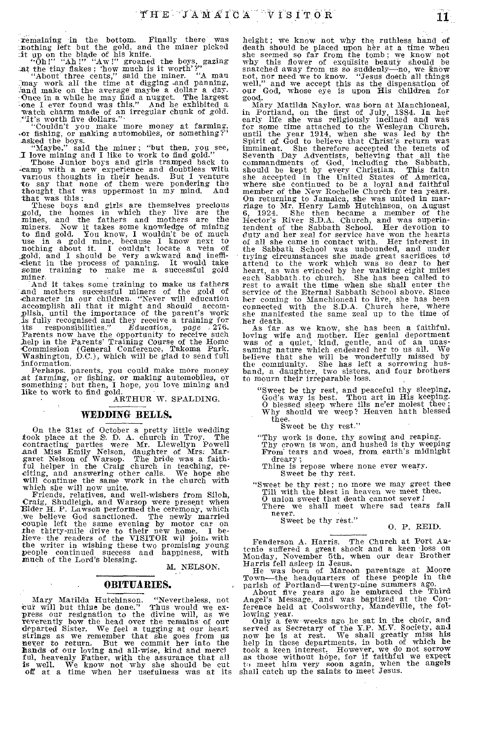remaining in the bottom. Finally there was increasing in the gold, and the miner picked it buy on the blade of his knife.<br>The miner picked is the time gold, and the miner picked in the time time of his knife.<br>At the time

nayoe, sand the miner; "but then, you see,<br>I love mining and I like to work to find gold."<br>Those Junior boys and girls tramped back to<br>mone with.

Those Junior boys and girls tramped back to camp with a new experience and doubtless with various thoughts in their heals. But the say that none of them were pondering the thought that was uppermost in my mind. And that wa

miners. Now it takes some knowledge of mining<br>to find gold. You know, I wouldn't be of much so may gold mine, because I know next to<br>nothing about it. I couldn't locate a vein of<br>nothing about it. I couldn't locate a vein of<br>gold, and I should be very awkward and ineffi-<br>cient in the process of panning. It would

miner.<br>
And it takes some training to make us fathers<br>
And it takes some training to make us fathers<br>
and mothers successful miners of the gold of<br>
ccharacter in our children. "Never will education<br>
accomplish all that it Parents now have the opportunity to receive such help in the Parents' Training Course of the Home Commission (General Conference, Takoma Park. Washington, D.C.), which will be glad to send full

Information.<br>
Perhaps. parents, you could make more money<br>
at farming, or fishing. or making automobiles, or<br>
something; but then, I hope, you love mining and<br>
like to work to find gold.

ARTHUR W. SPALDING.

#### **WEDDING BELLS.**

On the 31st of October a pretty little wedding<br>took place at the S. D. A. church in Troy. The<br>contracting parties were Mr. Llewellyn Powell<br>and Miss Emily Nelson, daughter of Mrs. Mar-<br>garet Nelson of Warsop. The bride was will continue the same work in the church with which she will now unite.

which she will now unite.<br>
Friends, relatives, and well-wishers from Siloh,<br>
Friends, relatives, and well-wishers from Siloh,<br>
Craig, Shudleigh, and Warsop were present when<br>
Telder H. P. Lawson performed the ceremony, whi

M. NELSON.

#### **OBITUARIES.**

Mary Matilda Hutchinson. "Nevertheless, not cut will but thin be done." Thus would we ex-<br>press our resignation to the divine will, as we<br>reverently bow the head over the remains of our<br>departed Sister. We feel a tugging a

height; we know not why the ruthless hand of death should be placed upon her at a time when she seemed so far from the tomb; we know not why this flower of exquisite beauty should be snatched away from us so suddenly—no, we know not, nor need we to know. "Jesus doeth all things well," and we accept this as the dispensation of our God, whose eye is upon His children for good.

Mary Matilda Naylor. was born at Manchioneal, in Portland, on the first of July, 1884. In her early life she was religiously inclined and was for some time attached to the Wesleyan Church, consider the variable, when she was led by the unitli the year 1914, when she was led by the Spirit of God to believe that Christ's return was imminent. She therefore accepted the tenets of Seventh Day Adventists, believin manical terming to Jamaica, she was united in marriage to Mr. Henry Lamb Hutchinson, on August 6, 1924. She then became a member of the Hector's River S.D.A. Church, and was superintendent of the Sabbath School. Her devoti duty and her zeal for service have won the hearts<br>of all she came in contact with. Her interest in of all she came in contact with. the Sabbath School was unbounded, and under trying circumstances she made great sacrifices td iving chromashess are mode great statements of the work which was so dear to her heart, as was evinced by her walking eight miles each Sabbath to church. She has been called to avait the time when she shall enter the servi

her death.<br>
her death.<br>
As far as we know, she has been a faithful,<br>
loving wife and mother. Her genial deportment<br>
was of a quiet, kind, gentle, and of an unas-<br>
suming nature which endeared her to us all. We<br>
believe tha

"Sweet be thy rest, and peaceful thy sleeping, God's way is best. Thou art in His keeping. O blessed sleep where ills ne'er molest thee ; Why should we weep? Heaven bath blessed thee.

Sweet be thy rest."

"Thy work is done. thy sowing and reaping.<br>Thy crown is won, and hushed is thy weeping<br>From tears and woes, from earth's midnight

dreary;<br>
Thine is repose where none ever weary.<br>
Sweet be thy rest.

"Sweet be thy rest; no more we may greet thee Till with the blest in heaven we meet thee. O union sweet that death cannot sever ! There we shall meet where sad tears fall

never.

Sweet be thy rest."

0. P. REID.

Fenderson A. Harris. The Church at Port Antonio suffered a great shock and a keen loss on Monday, November 5th, when our dear Brother Harris fell asleep in Jesus.<br>He was born of Marcon parentage at Moore<br>Herris fell asleep

lowing year.<br>
Only a few weeks ago he sat in the choir, and<br>
only a few weeks ago he sat in the choir, and<br>
orved as Secretary of the Y.P. M.V. Society, and<br>
now he is at rest. We shall greatly miss his<br>
help in these depa